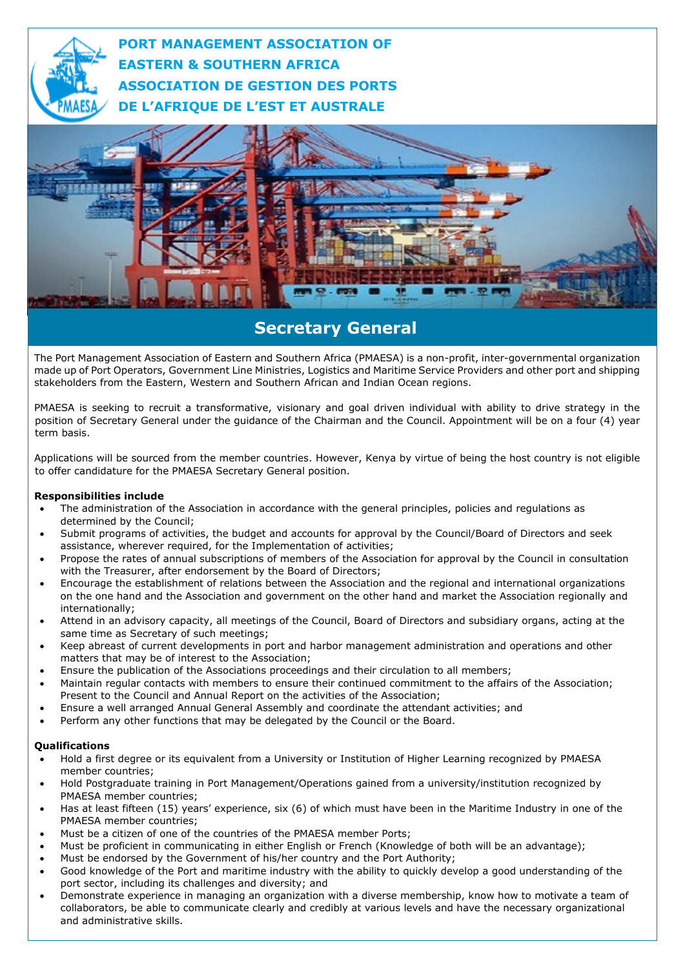

**PORT MANAGEMENT ASSOCIATION OF EASTERN & SOUTHERN AFRICA ASSOCIATION DE GESTION DES PORTS DE L'AFRIQUE DE L'EST ET AUSTRALE**



## **Secretary General**

The Port Management Association of Eastern and Southern Africa (PMAESA) is a non-profit, inter-governmental organization made up of Port Operators, Government Line Ministries, Logistics and Maritime Service Providers and other port and shipping stakeholders from the Eastern, Western and Southern African and Indian Ocean regions.

PMAESA is seeking to recruit a transformative, visionary and goal driven individual with ability to drive strategy in the position of Secretary General under the guidance of the Chairman and the Council. Appointment will be on a four (4) year term basis.

Applications will be sourced from the member countries. However, Kenya by virtue of being the host country is not eligible to offer candidature for the PMAESA Secretary General position.

## **Responsibilities include**

- The administration of the Association in accordance with the general principles, policies and regulations as determined by the Council;
- Submit programs of activities, the budget and accounts for approval by the Council/Board of Directors and seek assistance, wherever required, for the Implementation of activities;
- Propose the rates of annual subscriptions of members of the Association for approval by the Council in consultation with the Treasurer, after endorsement by the Board of Directors;
- Encourage the establishment of relations between the Association and the regional and international organizations on the one hand and the Association and government on the other hand and market the Association regionally and internationally;
- Attend in an advisory capacity, all meetings of the Council, Board of Directors and subsidiary organs, acting at the same time as Secretary of such meetings;
- Keep abreast of current developments in port and harbor management administration and operations and other matters that may be of interest to the Association;
- Ensure the publication of the Associations proceedings and their circulation to all members;
- Maintain regular contacts with members to ensure their continued commitment to the affairs of the Association; Present to the Council and Annual Report on the activities of the Association;
- Ensure a well arranged Annual General Assembly and coordinate the attendant activities; and
- Perform any other functions that may be delegated by the Council or the Board.

## **Qualifications**

- Hold a first degree or its equivalent from a University or Institution of Higher Learning recognized by PMAESA member countries;
- Hold Postgraduate training in Port Management/Operations gained from a university/institution recognized by PMAESA member countries;
- Has at least fifteen (15) years' experience, six (6) of which must have been in the Maritime Industry in one of the PMAESA member countries;
- Must be a citizen of one of the countries of the PMAESA member Ports;
- Must be proficient in communicating in either English or French (Knowledge of both will be an advantage);
- Must be endorsed by the Government of his/her country and the Port Authority;
- Good knowledge of the Port and maritime industry with the ability to quickly develop a good understanding of the port sector, including its challenges and diversity; and
- Demonstrate experience in managing an organization with a diverse membership, know how to motivate a team of collaborators, be able to communicate clearly and credibly at various levels and have the necessary organizational and administrative skills.